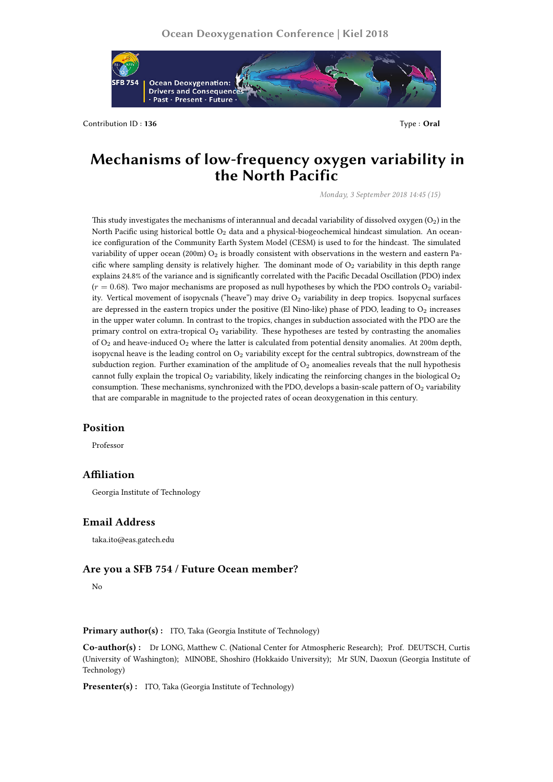

Contribution ID: **136** Type : **Oral** 

# **Mechanisms of low-frequency oxygen variability in the North Pacific**

*Monday, 3 September 2018 14:45 (15)*

This study investigates the mechanisms of interannual and decadal variability of dissolved oxygen  $(O_2)$  in the North Pacific using historical bottle  $O_2$  data and a physical-biogeochemical hindcast simulation. An oceanice configuration of the Community Earth System Model (CESM) is used to for the hindcast. The simulated variability of upper ocean (200m)  $O_2$  is broadly consistent with observations in the western and eastern Pacific where sampling density is relatively higher. The dominant mode of  $O<sub>2</sub>$  variability in this depth range explains 24.8% of the variance and is significantly correlated with the Pacific Decadal Oscillation (PDO) index  $(r = 0.68)$ . Two major mechanisms are proposed as null hypotheses by which the PDO controls  $O<sub>2</sub>$  variability. Vertical movement of isopycnals ("heave") may drive O<sub>2</sub> variability in deep tropics. Isopycnal surfaces are depressed in the eastern tropics under the positive (El Nino-like) phase of PDO, leading to  $O_2$  increases in the upper water column. In contrast to the tropics, changes in subduction associated with the PDO are the primary control on extra-tropical  $O_2$  variability. These hypotheses are tested by contrasting the anomalies of  $O_2$  and heave-induced  $O_2$  where the latter is calculated from potential density anomalies. At 200m depth, isopycnal heave is the leading control on  $O_2$  variability except for the central subtropics, downstream of the subduction region. Further examination of the amplitude of  $O_2$  anomealies reveals that the null hypothesis cannot fully explain the tropical  $O_2$  variability, likely indicating the reinforcing changes in the biological  $O_2$ consumption. These mechanisms, synchronized with the PDO, develops a basin-scale pattern of  $O<sub>2</sub>$  variability that are comparable in magnitude to the projected rates of ocean deoxygenation in this century.

## **Position**

Professor

#### **Affiliation**

Georgia Institute of Technology

# **Email Address**

taka.ito@eas.gatech.edu

## **Are you a SFB 754 / Future Ocean member?**

No

**Primary author(s):** ITO, Taka (Georgia Institute of Technology)

**Co-author(s) :** Dr LONG, Matthew C. (National Center for Atmospheric Research); Prof. DEUTSCH, Curtis (University of Washington); MINOBE, Shoshiro (Hokkaido University); Mr SUN, Daoxun (Georgia Institute of Technology)

**Presenter(s) :** ITO, Taka (Georgia Institute of Technology)